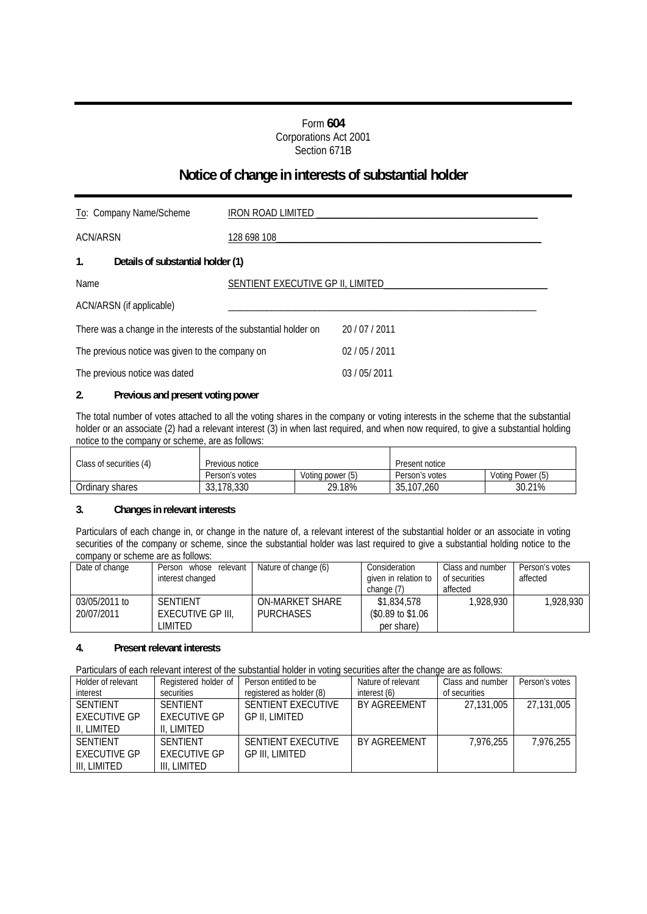# Form **604** Corporations Act 2001 Section 671B

# **Notice of change in interests of substantial holder**

| To: Company Name/Scheme                                          | <b>IRON ROAD LIMITED</b>          |                |
|------------------------------------------------------------------|-----------------------------------|----------------|
| ACN/ARSN                                                         | 128 698 108                       |                |
| $1_{\cdot}$<br>Details of substantial holder (1)                 |                                   |                |
| Name                                                             | SENTIENT EXECUTIVE GP II, LIMITED |                |
| ACN/ARSN (if applicable)                                         |                                   |                |
| There was a change in the interests of the substantial holder on |                                   | 20 / 07 / 2011 |
| The previous notice was given to the company on                  |                                   | 02/05/2011     |
| The previous notice was dated                                    |                                   | 03 / 05 / 2011 |

## **2. Previous and present voting power**

The total number of votes attached to all the voting shares in the company or voting interests in the scheme that the substantial holder or an associate (2) had a relevant interest (3) in when last required, and when now required, to give a substantial holding notice to the company or scheme, are as follows:

| Class of securities (4) | Previous notice         |                  | Present notice |                  |  |
|-------------------------|-------------------------|------------------|----------------|------------------|--|
|                         | Person's votes          | Voting power (5) | Person's votes | Voting Power (5) |  |
| Ordinary shares         | $-178.330$<br>つつ<br>აა. | 29.18%           | 35,107,260     | 30.21%           |  |

## **3. Changes in relevant interests**

Particulars of each change in, or change in the nature of, a relevant interest of the substantial holder or an associate in voting securities of the company or scheme, since the substantial holder was last required to give a substantial holding notice to the company or scheme are as follows:

| Date of change | Person whose relevant<br>interest changed | Nature of change (6) | Consideration<br>given in relation to<br>change $(7)$ | Class and number<br>of securities<br>affected | Person's votes<br>affected |
|----------------|-------------------------------------------|----------------------|-------------------------------------------------------|-----------------------------------------------|----------------------------|
| 03/05/2011 to  | <b>SENTIENT</b>                           | ON-MARKET SHARE      | \$1,834,578                                           | 1.928.930                                     | 1,928,930                  |
| 20/07/2011     | EXECUTIVE GP III.                         | <b>PURCHASES</b>     | $$0.89$$ to \$1.06                                    |                                               |                            |
|                | <b>IMITED</b>                             |                      | per share)                                            |                                               |                            |

### **4. Present relevant interests**

Particulars of each relevant interest of the substantial holder in voting securities after the change are as follows:

| Holder of relevant  | Registered holder of | Person entitled to be     | Nature of relevant  | Class and number | Person's votes |
|---------------------|----------------------|---------------------------|---------------------|------------------|----------------|
| interest            | securities           | registered as holder (8)  | interest (6)        | of securities    |                |
| <b>SENTIENT</b>     | <b>SENTIFNT</b>      | SENTIENT EXECUTIVE        | <b>BY AGREEMENT</b> | 27,131,005       | 27.131.005     |
| <b>FXFCUTIVE GP</b> | <b>FXFCUTIVE GP</b>  | GP II, LIMITED            |                     |                  |                |
| II. LIMITED         | II. LIMITED          |                           |                     |                  |                |
| <b>SENTIENT</b>     | <b>SENTIENT</b>      | <b>SENTIENT EXECUTIVE</b> | <b>BY AGREEMENT</b> | 7.976.255        | 7,976,255      |
| <b>EXECUTIVE GP</b> | <b>EXECUTIVE GP</b>  | GP III. LIMITED           |                     |                  |                |
| III, LIMITED        | III, LIMITED         |                           |                     |                  |                |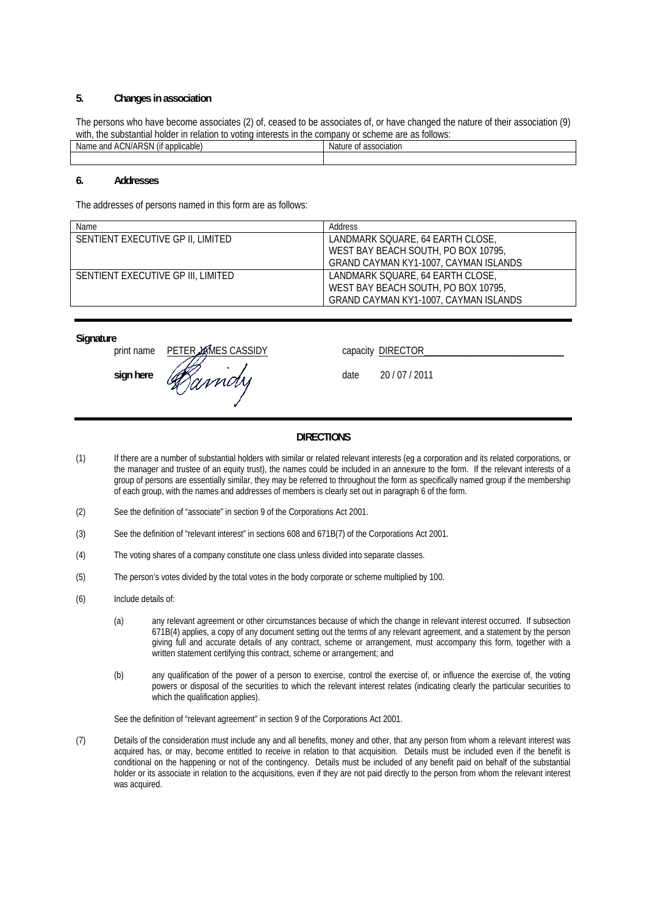#### **5. Changes in association**

The persons who have become associates (2) of, ceased to be associates of, or have changed the nature of their association (9) with, the substantial holder in relation to voting interests in the company or scheme are as follows:

| <br>$\Lambda$ DC $\Lambda$ L<br>$\overline{\phantom{a}}$<br>applicable <sup>'</sup><br>n<br>Name<br>$\sim$<br>'NI<br>u At "<br>AUN/ARSIN<br>- 311 | Natur<br>association<br>$\mathbf{u}$<br>$\cdot$ |
|---------------------------------------------------------------------------------------------------------------------------------------------------|-------------------------------------------------|
|                                                                                                                                                   |                                                 |

#### **6. Addresses**

The addresses of persons named in this form are as follows:

| Name                               | Address                               |
|------------------------------------|---------------------------------------|
| SENTIENT EXECUTIVE GP II, LIMITED  | LANDMARK SQUARE, 64 EARTH CLOSE,      |
|                                    | WEST BAY BEACH SOUTH, PO BOX 10795,   |
|                                    | GRAND CAYMAN KY1-1007, CAYMAN ISLANDS |
| SENTIENT EXECUTIVE GP III, LIMITED | LANDMARK SQUARE, 64 EARTH CLOSE,      |
|                                    | WEST BAY BEACH SOUTH, PO BOX 10795,   |
|                                    | GRAND CAYMAN KY1-1007, CAYMAN ISLANDS |

**Signature**

print name PETER AMES CASSIDY capacity DIRECTOR **sign here** date 20/07/2011

## **DIRECTIONS**

(1) If there are a number of substantial holders with similar or related relevant interests (eg a corporation and its related corporations, or the manager and trustee of an equity trust), the names could be included in an annexure to the form. If the relevant interests of a group of persons are essentially similar, they may be referred to throughout the form as specifically named group if the membership of each group, with the names and addresses of members is clearly set out in paragraph 6 of the form.

(2) See the definition of "associate" in section 9 of the Corporations Act 2001.

- (3) See the definition of "relevant interest" in sections 608 and 671B(7) of the Corporations Act 2001.
- (4) The voting shares of a company constitute one class unless divided into separate classes.
- (5) The person's votes divided by the total votes in the body corporate or scheme multiplied by 100.
- (6) Include details of:
	- (a) any relevant agreement or other circumstances because of which the change in relevant interest occurred. If subsection 671B(4) applies, a copy of any document setting out the terms of any relevant agreement, and a statement by the person giving full and accurate details of any contract, scheme or arrangement, must accompany this form, together with a written statement certifying this contract, scheme or arrangement; and
	- (b) any qualification of the power of a person to exercise, control the exercise of, or influence the exercise of, the voting powers or disposal of the securities to which the relevant interest relates (indicating clearly the particular securities to which the qualification applies).

See the definition of "relevant agreement" in section 9 of the Corporations Act 2001.

(7) Details of the consideration must include any and all benefits, money and other, that any person from whom a relevant interest was acquired has, or may, become entitled to receive in relation to that acquisition. Details must be included even if the benefit is conditional on the happening or not of the contingency. Details must be included of any benefit paid on behalf of the substantial holder or its associate in relation to the acquisitions, even if they are not paid directly to the person from whom the relevant interest was acquired.